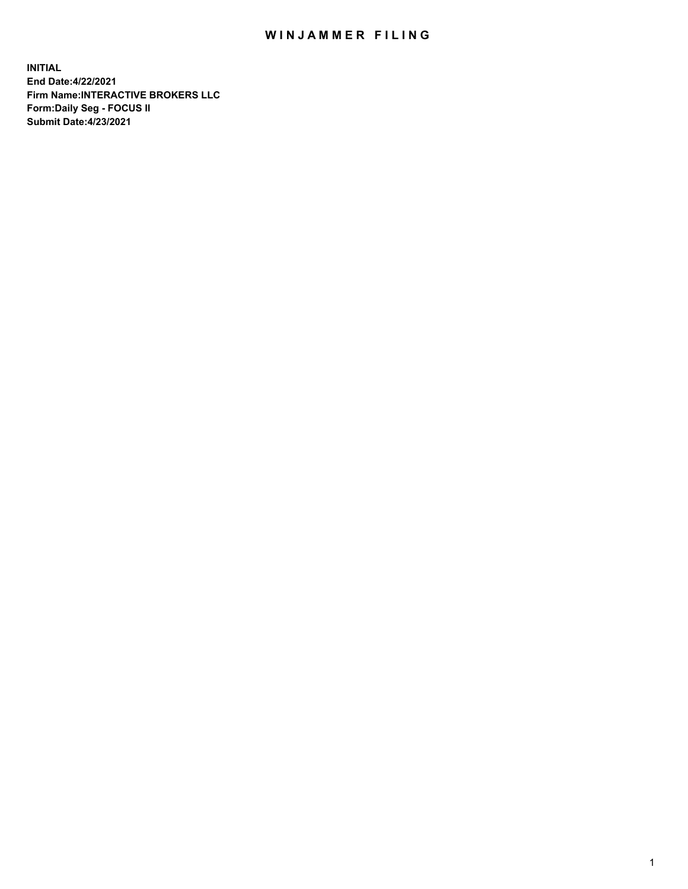## WIN JAMMER FILING

**INITIAL End Date:4/22/2021 Firm Name:INTERACTIVE BROKERS LLC Form:Daily Seg - FOCUS II Submit Date:4/23/2021**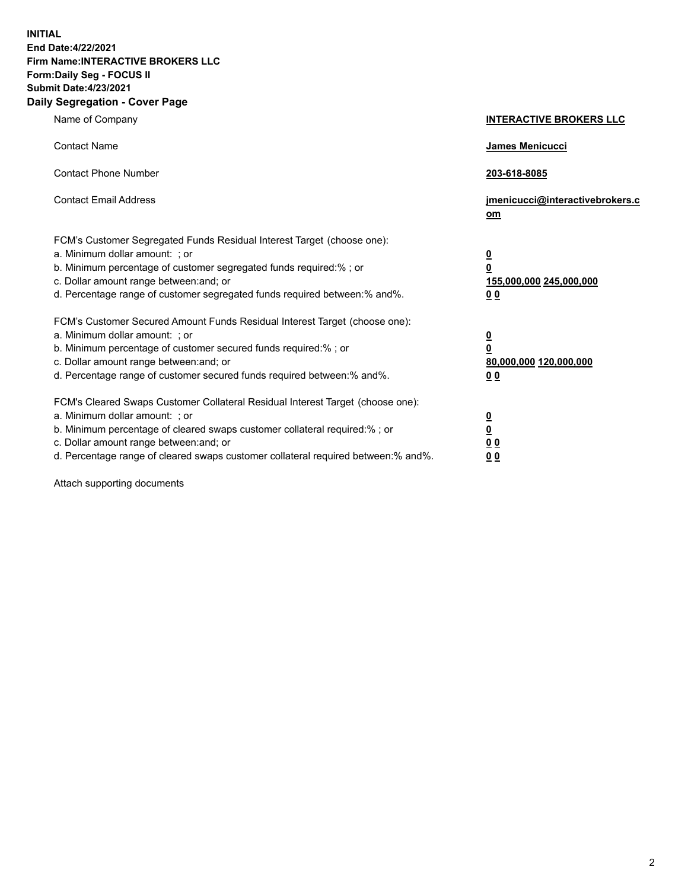**INITIAL End Date:4/22/2021 Firm Name:INTERACTIVE BROKERS LLC Form:Daily Seg - FOCUS II Submit Date:4/23/2021 Daily Segregation - Cover Page**

| Name of Company                                                                                                                                                                                                                                                                                                                | <b>INTERACTIVE BROKERS LLC</b>                                                     |
|--------------------------------------------------------------------------------------------------------------------------------------------------------------------------------------------------------------------------------------------------------------------------------------------------------------------------------|------------------------------------------------------------------------------------|
| <b>Contact Name</b>                                                                                                                                                                                                                                                                                                            | James Menicucci                                                                    |
| <b>Contact Phone Number</b>                                                                                                                                                                                                                                                                                                    | 203-618-8085                                                                       |
| <b>Contact Email Address</b>                                                                                                                                                                                                                                                                                                   | jmenicucci@interactivebrokers.c<br>om                                              |
| FCM's Customer Segregated Funds Residual Interest Target (choose one):<br>a. Minimum dollar amount: ; or<br>b. Minimum percentage of customer segregated funds required:% ; or<br>c. Dollar amount range between: and; or<br>d. Percentage range of customer segregated funds required between:% and%.                         | $\overline{\mathbf{0}}$<br>$\pmb{0}$<br>155,000,000 245,000,000<br>0 <sub>0</sub>  |
| FCM's Customer Secured Amount Funds Residual Interest Target (choose one):<br>a. Minimum dollar amount: ; or<br>b. Minimum percentage of customer secured funds required:% ; or<br>c. Dollar amount range between: and; or<br>d. Percentage range of customer secured funds required between:% and%.                           | $\overline{\mathbf{0}}$<br>$\overline{\mathbf{0}}$<br>80,000,000 120,000,000<br>00 |
| FCM's Cleared Swaps Customer Collateral Residual Interest Target (choose one):<br>a. Minimum dollar amount: ; or<br>b. Minimum percentage of cleared swaps customer collateral required:% ; or<br>c. Dollar amount range between: and; or<br>d. Percentage range of cleared swaps customer collateral required between:% and%. | $\frac{0}{0}$<br>0 <sub>0</sub><br>0 <sub>0</sub>                                  |

Attach supporting documents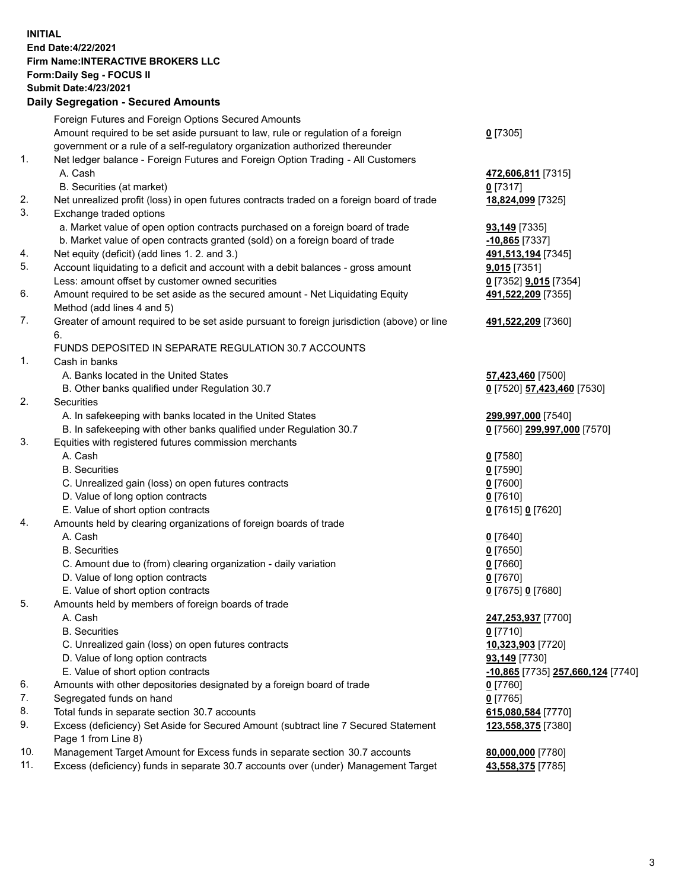**INITIAL End Date:4/22/2021 Firm Name:INTERACTIVE BROKERS LLC Form:Daily Seg - FOCUS II Submit Date:4/23/2021 Daily Segregation - Secured Amounts**

## Foreign Futures and Foreign Options Secured Amounts Amount required to be set aside pursuant to law, rule or regulation of a foreign government or a rule of a self-regulatory organization authorized thereunder **0** [7305] 1. Net ledger balance - Foreign Futures and Foreign Option Trading - All Customers A. Cash **472,606,811** [7315] B. Securities (at market) **0** [7317] 2. Net unrealized profit (loss) in open futures contracts traded on a foreign board of trade **18,824,099** [7325] 3. Exchange traded options a. Market value of open option contracts purchased on a foreign board of trade **93,149** [7335] b. Market value of open contracts granted (sold) on a foreign board of trade **-10,865** [7337] 4. Net equity (deficit) (add lines 1. 2. and 3.) **491,513,194** [7345] 5. Account liquidating to a deficit and account with a debit balances - gross amount **9,015** [7351] Less: amount offset by customer owned securities **0** [7352] **9,015** [7354] 6. Amount required to be set aside as the secured amount - Net Liquidating Equity Method (add lines 4 and 5) **491,522,209** [7355] 7. Greater of amount required to be set aside pursuant to foreign jurisdiction (above) or line 6. **491,522,209** [7360] FUNDS DEPOSITED IN SEPARATE REGULATION 30.7 ACCOUNTS 1. Cash in banks A. Banks located in the United States **57,423,460** [7500] B. Other banks qualified under Regulation 30.7 **0** [7520] **57,423,460** [7530] 2. Securities A. In safekeeping with banks located in the United States **299,997,000** [7540] B. In safekeeping with other banks qualified under Regulation 30.7 **0** [7560] **299,997,000** [7570] 3. Equities with registered futures commission merchants A. Cash **0** [7580] B. Securities **0** [7590] C. Unrealized gain (loss) on open futures contracts **0** [7600] D. Value of long option contracts **0** [7610] E. Value of short option contracts **0** [7615] **0** [7620] 4. Amounts held by clearing organizations of foreign boards of trade A. Cash **0** [7640] B. Securities **0** [7650] C. Amount due to (from) clearing organization - daily variation **0** [7660] D. Value of long option contracts **0** [7670] E. Value of short option contracts **0** [7675] **0** [7680] 5. Amounts held by members of foreign boards of trade A. Cash **247,253,937** [7700] B. Securities **0** [7710] C. Unrealized gain (loss) on open futures contracts **10,323,903** [7720] D. Value of long option contracts **93,149** [7730] E. Value of short option contracts **-10,865** [7735] **257,660,124** [7740] 6. Amounts with other depositories designated by a foreign board of trade **0** [7760] 7. Segregated funds on hand **0** [7765] 8. Total funds in separate section 30.7 accounts **615,080,584** [7770] 9. Excess (deficiency) Set Aside for Secured Amount (subtract line 7 Secured Statement Page 1 from Line 8) **123,558,375** [7380] 10. Management Target Amount for Excess funds in separate section 30.7 accounts **80,000,000** [7780] 11. Excess (deficiency) funds in separate 30.7 accounts over (under) Management Target **43,558,375** [7785]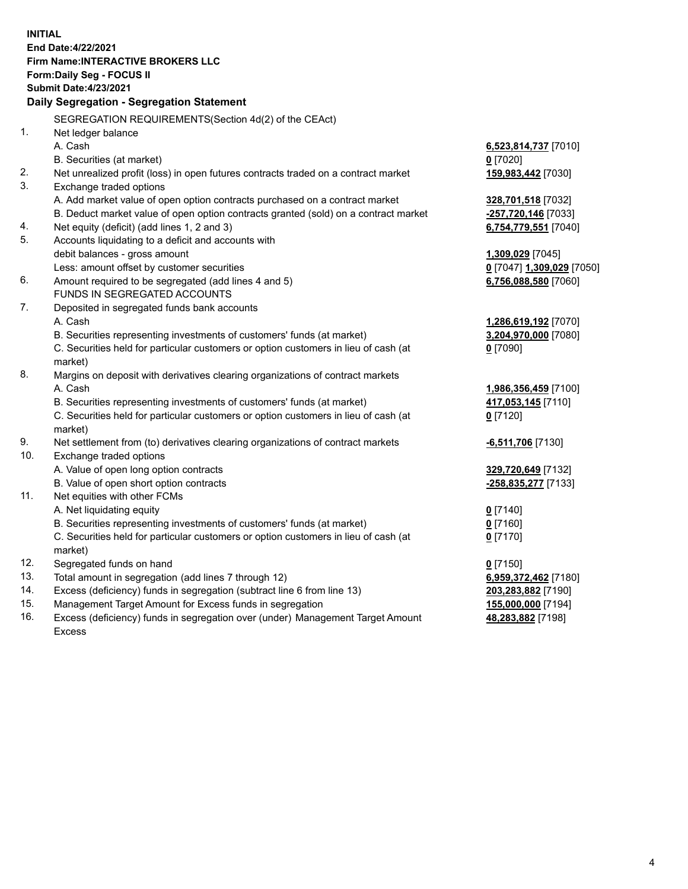**INITIAL End Date:4/22/2021 Firm Name:INTERACTIVE BROKERS LLC Form:Daily Seg - FOCUS II Submit Date:4/23/2021 Daily Segregation - Segregation Statement** SEGREGATION REQUIREMENTS(Section 4d(2) of the CEAct) 1. Net ledger balance A. Cash **6,523,814,737** [7010] B. Securities (at market) **0** [7020] 2. Net unrealized profit (loss) in open futures contracts traded on a contract market **159,983,442** [7030] 3. Exchange traded options A. Add market value of open option contracts purchased on a contract market **328,701,518** [7032] B. Deduct market value of open option contracts granted (sold) on a contract market **-257,720,146** [7033] 4. Net equity (deficit) (add lines 1, 2 and 3) **6,754,779,551** [7040] 5. Accounts liquidating to a deficit and accounts with debit balances - gross amount **1,309,029** [7045] Less: amount offset by customer securities **0** [7047] **1,309,029** [7050] 6. Amount required to be segregated (add lines 4 and 5) **6,756,088,580** [7060] FUNDS IN SEGREGATED ACCOUNTS 7. Deposited in segregated funds bank accounts A. Cash **1,286,619,192** [7070] B. Securities representing investments of customers' funds (at market) **3,204,970,000** [7080] C. Securities held for particular customers or option customers in lieu of cash (at market) **0** [7090] 8. Margins on deposit with derivatives clearing organizations of contract markets A. Cash **1,986,356,459** [7100] B. Securities representing investments of customers' funds (at market) **417,053,145** [7110] C. Securities held for particular customers or option customers in lieu of cash (at market) **0** [7120] 9. Net settlement from (to) derivatives clearing organizations of contract markets **-6,511,706** [7130] 10. Exchange traded options A. Value of open long option contracts **329,720,649** [7132] B. Value of open short option contracts **-258,835,277** [7133] 11. Net equities with other FCMs A. Net liquidating equity **0** [7140] B. Securities representing investments of customers' funds (at market) **0** [7160] C. Securities held for particular customers or option customers in lieu of cash (at market) **0** [7170] 12. Segregated funds on hand **0** [7150] 13. Total amount in segregation (add lines 7 through 12) **6,959,372,462** [7180] 14. Excess (deficiency) funds in segregation (subtract line 6 from line 13) **203,283,882** [7190] 15. Management Target Amount for Excess funds in segregation **155,000,000** [7194] **48,283,882** [7198]

16. Excess (deficiency) funds in segregation over (under) Management Target Amount Excess